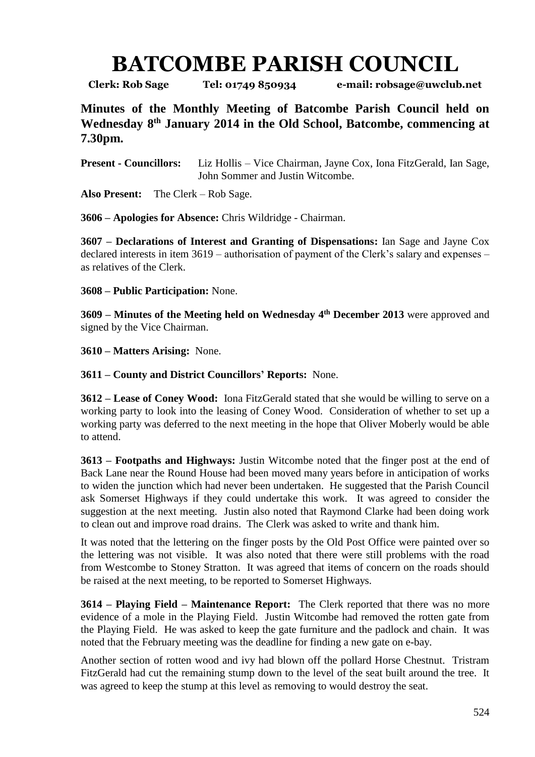## **BATCOMBE PARISH COUNCIL**

**Clerk: Rob Sage Tel: 01749 850934 e-mail: robsage@uwclub.net**

**Minutes of the Monthly Meeting of Batcombe Parish Council held on Wednesday 8 th January 2014 in the Old School, Batcombe, commencing at 7.30pm.**

**Present - Councillors:** Liz Hollis – Vice Chairman, Jayne Cox, Iona FitzGerald, Ian Sage, John Sommer and Justin Witcombe.

**Also Present:** The Clerk – Rob Sage.

**3606 – Apologies for Absence:** Chris Wildridge - Chairman.

**3607 – Declarations of Interest and Granting of Dispensations:** Ian Sage and Jayne Cox declared interests in item 3619 – authorisation of payment of the Clerk's salary and expenses – as relatives of the Clerk.

**3608 – Public Participation:** None.

**3609 – Minutes of the Meeting held on Wednesday 4 th December 2013** were approved and signed by the Vice Chairman.

**3610 – Matters Arising:** None.

**3611 – County and District Councillors' Reports:** None.

**3612 – Lease of Coney Wood:** Iona FitzGerald stated that she would be willing to serve on a working party to look into the leasing of Coney Wood. Consideration of whether to set up a working party was deferred to the next meeting in the hope that Oliver Moberly would be able to attend.

**3613 – Footpaths and Highways:** Justin Witcombe noted that the finger post at the end of Back Lane near the Round House had been moved many years before in anticipation of works to widen the junction which had never been undertaken. He suggested that the Parish Council ask Somerset Highways if they could undertake this work. It was agreed to consider the suggestion at the next meeting. Justin also noted that Raymond Clarke had been doing work to clean out and improve road drains. The Clerk was asked to write and thank him.

It was noted that the lettering on the finger posts by the Old Post Office were painted over so the lettering was not visible. It was also noted that there were still problems with the road from Westcombe to Stoney Stratton. It was agreed that items of concern on the roads should be raised at the next meeting, to be reported to Somerset Highways.

**3614 – Playing Field – Maintenance Report:** The Clerk reported that there was no more evidence of a mole in the Playing Field. Justin Witcombe had removed the rotten gate from the Playing Field. He was asked to keep the gate furniture and the padlock and chain. It was noted that the February meeting was the deadline for finding a new gate on e-bay.

Another section of rotten wood and ivy had blown off the pollard Horse Chestnut. Tristram FitzGerald had cut the remaining stump down to the level of the seat built around the tree. It was agreed to keep the stump at this level as removing to would destroy the seat.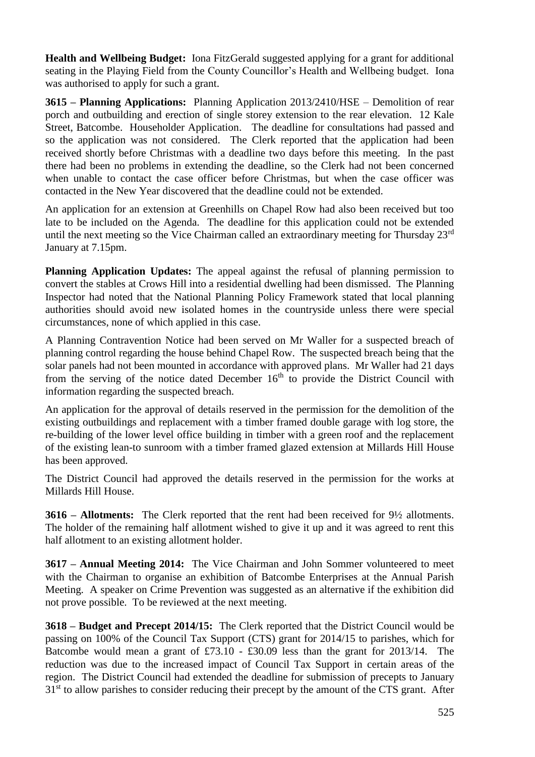**Health and Wellbeing Budget:** Iona FitzGerald suggested applying for a grant for additional seating in the Playing Field from the County Councillor's Health and Wellbeing budget. Iona was authorised to apply for such a grant.

**3615 – Planning Applications:** Planning Application 2013/2410/HSE – Demolition of rear porch and outbuilding and erection of single storey extension to the rear elevation. 12 Kale Street, Batcombe. Householder Application. The deadline for consultations had passed and so the application was not considered. The Clerk reported that the application had been received shortly before Christmas with a deadline two days before this meeting. In the past there had been no problems in extending the deadline, so the Clerk had not been concerned when unable to contact the case officer before Christmas, but when the case officer was contacted in the New Year discovered that the deadline could not be extended.

An application for an extension at Greenhills on Chapel Row had also been received but too late to be included on the Agenda. The deadline for this application could not be extended until the next meeting so the Vice Chairman called an extraordinary meeting for Thursday 23<sup>rd</sup> January at 7.15pm.

**Planning Application Updates:** The appeal against the refusal of planning permission to convert the stables at Crows Hill into a residential dwelling had been dismissed. The Planning Inspector had noted that the National Planning Policy Framework stated that local planning authorities should avoid new isolated homes in the countryside unless there were special circumstances, none of which applied in this case.

A Planning Contravention Notice had been served on Mr Waller for a suspected breach of planning control regarding the house behind Chapel Row. The suspected breach being that the solar panels had not been mounted in accordance with approved plans. Mr Waller had 21 days from the serving of the notice dated December  $16<sup>th</sup>$  to provide the District Council with information regarding the suspected breach.

An application for the approval of details reserved in the permission for the demolition of the existing outbuildings and replacement with a timber framed double garage with log store, the re-building of the lower level office building in timber with a green roof and the replacement of the existing lean-to sunroom with a timber framed glazed extension at Millards Hill House has been approved.

The District Council had approved the details reserved in the permission for the works at Millards Hill House.

**3616 – Allotments:** The Clerk reported that the rent had been received for 9½ allotments. The holder of the remaining half allotment wished to give it up and it was agreed to rent this half allotment to an existing allotment holder.

**3617 – Annual Meeting 2014:** The Vice Chairman and John Sommer volunteered to meet with the Chairman to organise an exhibition of Batcombe Enterprises at the Annual Parish Meeting. A speaker on Crime Prevention was suggested as an alternative if the exhibition did not prove possible. To be reviewed at the next meeting.

**3618 – Budget and Precept 2014/15:** The Clerk reported that the District Council would be passing on 100% of the Council Tax Support (CTS) grant for 2014/15 to parishes, which for Batcombe would mean a grant of £73.10 - £30.09 less than the grant for 2013/14. The reduction was due to the increased impact of Council Tax Support in certain areas of the region. The District Council had extended the deadline for submission of precepts to January  $31<sup>st</sup>$  to allow parishes to consider reducing their precept by the amount of the CTS grant. After